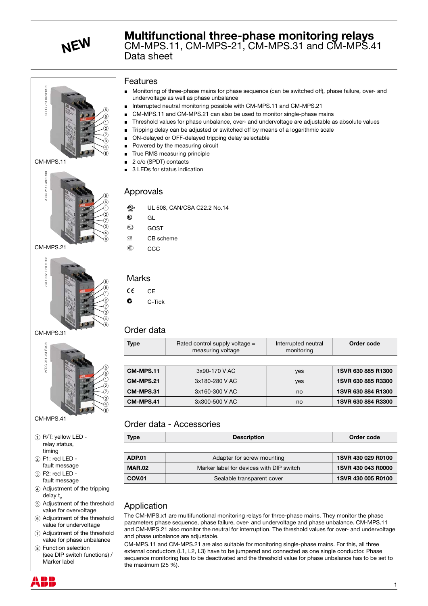





 CM-MPS.31



- (4) Adjustment of the tripping delay t
- $\Big|$  (5) Adjustment of the threshold value for overvoltage
- 6 Adjustment of the threshold value for undervoltage
- 7 Adjustment of the threshold value for phase unbalance
- (8) Function selection (see DIP switch functions) / Marker label

### Features

- Monitoring of three-phase mains for phase sequence (can be switched off), phase failure, over- and undervoltage as well as phase unbalance J
- Interrupted neutral monitoring possible with CM-MPS.11 and CM-MPS.21 J
- CM-MPS.11 and CM-MPS.21 can also be used to monitor single-phase mains J
- Threshold values for phase unbalance, over- and undervoltage are adjustable as absolute values Tripping delay can be adjusted or switched off by means of a logarithmic scale J
- ON-delayed or OFF-delayed tripping delay selectable J J
- Powered by the measuring circuit J
- True RMS measuring principle J
- 2 c/o (SPDT) contacts J
- 3 LEDs for status indication J

# Approvals

- **A** UL 508, CAN/CSA C22.2 No.14
- $\circledR$  GL
- <sup>©</sup> GOST
- $CE$  CB scheme
- E CCC

## Marks

- $CE$  CE
- $\mathbf c$  C-Tick

## Order data

| 2CDC 251 048 F0t08                                                     | Monitoring of three-phase mains for phase sequence (can be switched off), phase failure, over- and<br>undervoltage as well as phase unbalance<br>Interrupted neutral monitoring possible with CM-MPS.11 and CM-MPS.21<br>п<br>CM-MPS.11 and CM-MPS.21 can also be used to monitor single-phase mains<br>Threshold values for phase unbalance, over- and undervoltage are adjustable as absolute values<br>Tripping delay can be adjusted or switched off by means of a logarithmic scale<br>ON-delayed or OFF-delayed tripping delay selectable<br>Powered by the measuring circuit<br>True RMS measuring principle<br>■ |                                                                                                  |                                   |                    |  |
|------------------------------------------------------------------------|--------------------------------------------------------------------------------------------------------------------------------------------------------------------------------------------------------------------------------------------------------------------------------------------------------------------------------------------------------------------------------------------------------------------------------------------------------------------------------------------------------------------------------------------------------------------------------------------------------------------------|--------------------------------------------------------------------------------------------------|-----------------------------------|--------------------|--|
| CM-MPS.11                                                              | 2 c/o (SPDT) contacts                                                                                                                                                                                                                                                                                                                                                                                                                                                                                                                                                                                                    |                                                                                                  |                                   |                    |  |
| 2CDC 251 049 F0t08<br>CM-MPS.21                                        | 3 LEDs for status indication<br>Approvals<br>$\epsilon$ (h) us<br>UL 508, CAN/CSA C22.2 No.14<br>⊕<br>GL<br>对<br>GOST<br>CB<br>CB scheme<br>$^{\circledR}$<br>CCC                                                                                                                                                                                                                                                                                                                                                                                                                                                        |                                                                                                  |                                   |                    |  |
| 2CDC 251 050 F0108                                                     | <b>Marks</b><br>CE<br><b>CE</b><br>C<br>C-Tick                                                                                                                                                                                                                                                                                                                                                                                                                                                                                                                                                                           |                                                                                                  |                                   |                    |  |
| CM-MPS.31                                                              | Order data                                                                                                                                                                                                                                                                                                                                                                                                                                                                                                                                                                                                               |                                                                                                  |                                   |                    |  |
| 2CDC 251 051 F0t08                                                     | <b>Type</b>                                                                                                                                                                                                                                                                                                                                                                                                                                                                                                                                                                                                              | Rated control supply voltage =<br>measuring voltage                                              | Interrupted neutral<br>monitoring | Order code         |  |
|                                                                        | CM-MPS.11                                                                                                                                                                                                                                                                                                                                                                                                                                                                                                                                                                                                                | 3x90-170 V AC                                                                                    |                                   | 1SVR 630 885 R1300 |  |
|                                                                        | CM-MPS.21                                                                                                                                                                                                                                                                                                                                                                                                                                                                                                                                                                                                                |                                                                                                  | yes                               |                    |  |
|                                                                        |                                                                                                                                                                                                                                                                                                                                                                                                                                                                                                                                                                                                                          | 3x180-280 V AC                                                                                   | yes                               | 1SVR 630 885 R3300 |  |
|                                                                        | CM-MPS.31                                                                                                                                                                                                                                                                                                                                                                                                                                                                                                                                                                                                                | 3x160-300 V AC                                                                                   | no                                | 1SVR 630 884 R1300 |  |
|                                                                        | CM-MPS.41                                                                                                                                                                                                                                                                                                                                                                                                                                                                                                                                                                                                                | 3x300-500 V AC                                                                                   | no                                | 1SVR 630 884 R3300 |  |
| $\langle 8\rangle$<br>CM-MPS.41                                        |                                                                                                                                                                                                                                                                                                                                                                                                                                                                                                                                                                                                                          | Order data - Accessories                                                                         |                                   |                    |  |
| $(i)$ R/T: yellow LED -                                                | <b>Type</b>                                                                                                                                                                                                                                                                                                                                                                                                                                                                                                                                                                                                              | <b>Description</b>                                                                               |                                   | Order code         |  |
| relay status,<br>timing                                                |                                                                                                                                                                                                                                                                                                                                                                                                                                                                                                                                                                                                                          |                                                                                                  |                                   |                    |  |
| $(2)$ F1: red LED -                                                    | <b>ADP.01</b>                                                                                                                                                                                                                                                                                                                                                                                                                                                                                                                                                                                                            | Adapter for screw mounting                                                                       |                                   | 1SVR 430 029 R0100 |  |
| fault message                                                          | <b>MAR.02</b>                                                                                                                                                                                                                                                                                                                                                                                                                                                                                                                                                                                                            | Marker label for devices with DIP switch                                                         |                                   | 1SVR 430 043 R0000 |  |
| $(3)$ F2: red LED -<br>fault message                                   | <b>COV.01</b>                                                                                                                                                                                                                                                                                                                                                                                                                                                                                                                                                                                                            | Sealable transparent cover                                                                       |                                   | 1SVR 430 005 R0100 |  |
| 4) Adjustment of the tripping<br>delay t <sub>v</sub>                  |                                                                                                                                                                                                                                                                                                                                                                                                                                                                                                                                                                                                                          |                                                                                                  |                                   |                    |  |
| (5) Adjustment of the threshold<br>value for overvoltage               | Application                                                                                                                                                                                                                                                                                                                                                                                                                                                                                                                                                                                                              |                                                                                                  |                                   |                    |  |
| 6 Adjustment of the threshold<br>value for undervoltage                | The CM-MPS.x1 are multifunctional monitoring relays for three-phase mains. They monitor the phase<br>parameters phase sequence, phase failure, over- and undervoltage and phase unbalance. CM-MPS.11                                                                                                                                                                                                                                                                                                                                                                                                                     |                                                                                                  |                                   |                    |  |
| (7) Adjustment of the threshold                                        | and CM-MPS.21 also monitor the neutral for interruption. The threshold values for over- and undervoltage<br>and phase unbalance are adjustable.                                                                                                                                                                                                                                                                                                                                                                                                                                                                          |                                                                                                  |                                   |                    |  |
| value for phase unbalance                                              |                                                                                                                                                                                                                                                                                                                                                                                                                                                                                                                                                                                                                          | CM-MPS.11 and CM-MPS.21 are also suitable for monitoring single-phase mains. For this, all three |                                   |                    |  |
| (8) Function selection<br>(see DIP switch functions) /<br>Marker label | external conductors (L1, L2, L3) have to be jumpered and connected as one single conductor. Phase<br>sequence monitoring has to be deactivated and the threshold value for phase unbalance has to be set to<br>the maximum $(25 \%)$ .                                                                                                                                                                                                                                                                                                                                                                                   |                                                                                                  |                                   |                    |  |
|                                                                        |                                                                                                                                                                                                                                                                                                                                                                                                                                                                                                                                                                                                                          |                                                                                                  |                                   | 1                  |  |

# Order data - Accessories

| Type          | <b>Description</b>                       | Order code         |
|---------------|------------------------------------------|--------------------|
|               |                                          |                    |
| <b>ADP.01</b> | Adapter for screw mounting               | 1SVR 430 029 R0100 |
| <b>MAR.02</b> | Marker label for devices with DIP switch | 1SVR 430 043 R0000 |
| <b>COV.01</b> | Sealable transparent cover               | 1SVR 430 005 R0100 |

## Application

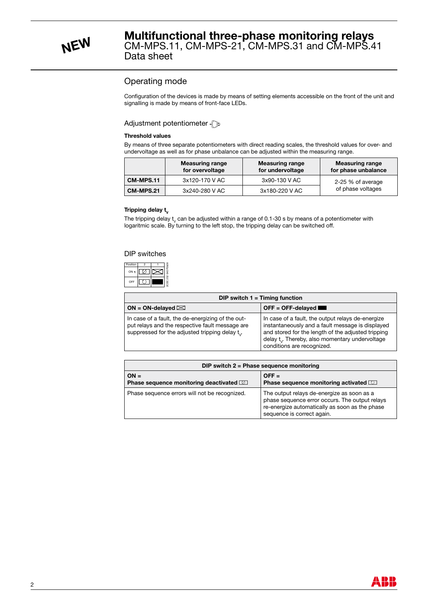# Operating mode

Configuration of the devices is made by means of setting elements accessible on the front of the unit and signalling is made by means of front-face LEDs.

#### Adjustment potentiometer  $\mathbb{C}$

#### **Threshold values**

By means of three separate potentiometers with direct reading scales, the threshold values for over- and undervoltage as well as for phase unbalance can be adjusted within the measuring range.

|                  | <b>Measuring range</b><br>for overvoltage | <b>Measuring range</b><br>for undervoltage | <b>Measuring range</b><br>for phase unbalance |
|------------------|-------------------------------------------|--------------------------------------------|-----------------------------------------------|
| CM-MPS.11        | 3x120-170 V AC                            | 3x90-130 V AC                              | 2-25 % of average                             |
| <b>CM-MPS.21</b> | 3x240-280 V AC                            | 3x180-220 V AC                             | of phase voltages                             |

#### **Tripping delay t<sub>v</sub>**

The tripping delay  $\mathfrak{t}_{\mathsf{v}}$  can be adjusted within a range of 0.1-30 s by means of a potentiometer with logaritmic scale. By turning to the left stop, the tripping delay can be switched off.

#### DIP switches

| Position | 2 |  |
|----------|---|--|
| ON t     |   |  |
| OFF      |   |  |

| DIP switch $1 =$ Timing function                                                                                                                               |                                                                                                                                                                                                                                                   |  |  |
|----------------------------------------------------------------------------------------------------------------------------------------------------------------|---------------------------------------------------------------------------------------------------------------------------------------------------------------------------------------------------------------------------------------------------|--|--|
| ON = ON-delayed $\boxtimes$                                                                                                                                    | $OFF = OFF$ -delayed                                                                                                                                                                                                                              |  |  |
| In case of a fault, the de-energizing of the out-<br>put relays and the respective fault message are<br>suppressed for the adjusted tripping delay $t_{\nu}$ . | In case of a fault, the output relays de-energize<br>instantaneously and a fault message is displayed<br>and stored for the length of the adjusted tripping<br>delay $t_{v}$ . Thereby, also momentary undervoltage<br>conditions are recognized. |  |  |

| DIP switch $2$ = Phase sequence monitoring                |                                                                                                                                                                              |  |  |
|-----------------------------------------------------------|------------------------------------------------------------------------------------------------------------------------------------------------------------------------------|--|--|
| $ON =$<br><b>Phase sequence monitoring deactivated MI</b> | $OFF =$<br>Phase sequence monitoring activated <b>D</b>                                                                                                                      |  |  |
| Phase sequence errors will not be recognized.             | The output relays de-energize as soon as a<br>phase sequence error occurs. The output relays<br>re-energize automatically as soon as the phase<br>sequence is correct again. |  |  |

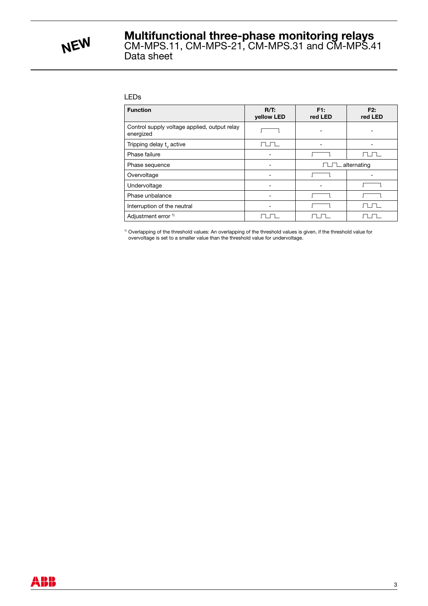

#### LEDs

| <b>Function</b>                                           | $R/T$ :<br>yellow LED | F1:<br>red LED     | F2:<br>red LED |
|-----------------------------------------------------------|-----------------------|--------------------|----------------|
| Control supply voltage applied, output relay<br>energized |                       |                    |                |
| Tripping delay $t_{v}$ active                             |                       |                    |                |
| Phase failure                                             |                       |                    |                |
| Phase sequence                                            |                       | $\Box$ alternating |                |
| Overvoltage                                               |                       |                    |                |
| Undervoltage                                              |                       |                    |                |
| Phase unbalance                                           |                       |                    |                |
| Interruption of the neutral                               |                       |                    |                |
| Adjustment error <sup>1)</sup>                            |                       |                    |                |

<sup>1)</sup> Overlapping of the threshold values: An overlapping of the threshold values is given, if the threshold value for overvoltage is set to a smaller value than the threshold value for undervoltage.

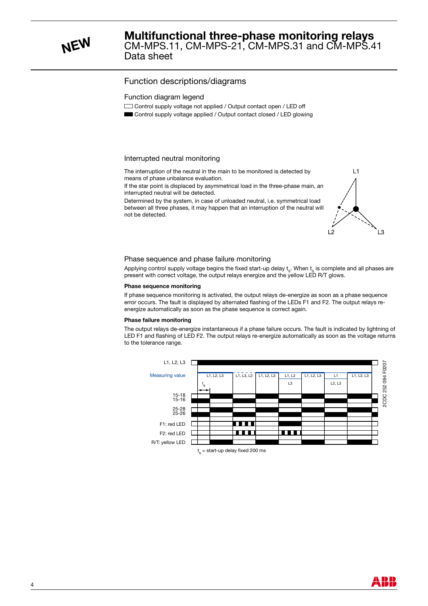**NEW** CM-MPS.11, CM-MPS-21, CM-MPS.31 and CM-MPS.41<br>Data sheet

## Function descriptions/diagrams

#### Function diagram legend

- Control supply voltage not applied / Output contact open / LED off
- **B** Control supply voltage applied / Output contact closed / LED glowing

#### Interrupted neutral monitoring

The interruption of the neutral in the main to be monitored is detected by means of phase unbalance evaluation.

If the star point is displaced by asymmetrical load in the three-phase main, an interrupted neutral will be detected.

Determined by the system, in case of unloaded neutral, i.e. symmetrical load between all three phases, it may happen that an interruption of the neutral will not be detected.



#### Phase sequence and phase failure monitoring

Applying control supply voltage begins the fixed start-up delay  ${\rm t}_{_{\rm S}}.$  When  ${\rm t}_{_{\rm S}}$  is complete and all phases are present with correct voltage, the output relays energize and the yellow LED R/T glows.

#### **Phase sequence monitoring**

If phase sequence monitoring is activated, the output relays de-energize as soon as a phase sequence error occurs. The fault is displayed by alternated flashing of the LEDs F1 and F2. The output relays reenergize automatically as soon as the phase sequence is correct again.

#### **Phase failure monitoring**

The output relays de-energize instantaneous if a phase failure occurs. The fault is indicated by lightning of LED F1 and flashing of LED F2. The output relays re-energize automatically as soon as the voltage returns to the tolerance range.

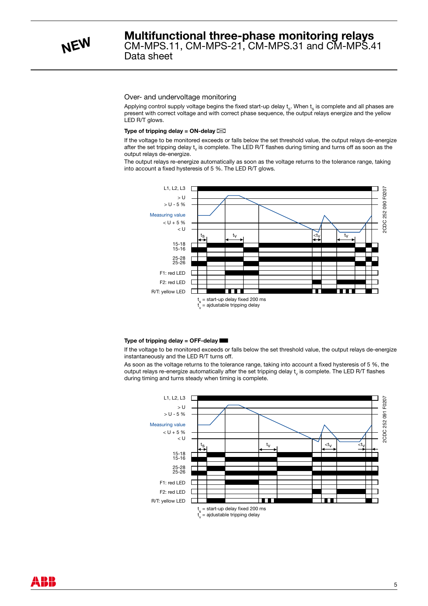#### Over- and undervoltage monitoring

Applying control supply voltage begins the fixed start-up delay  $\bm{{\mathsf{t}}}_{\rm s}$ . When  $\bm{{\mathsf{t}}}_{\rm s}$  is complete and all phases are present with correct voltage and with correct phase sequence, the output relays energize and the yellow LED R/T glows.

#### **Type of tripping delay = ON-delay**  $\boxtimes$

If the voltage to be monitored exceeds or falls below the set threshold value, the output relays de-energize after the set tripping delay  ${\sf t}_{\sf v}$  is complete. The LED R/T flashes during timing and turns off as soon as the output relays de-energize.

The output relays re-energize automatically as soon as the voltage returns to the tolerance range, taking into account a fixed hysteresis of 5 %. The LED R/T glows.



#### **Type of tripping delay = OFF-delay** B

If the voltage to be monitored exceeds or falls below the set threshold value, the output relays de-energize instantaneously and the LED R/T turns off.

As soon as the voltage returns to the tolerance range, taking into account a fixed hysteresis of 5 %, the output relays re-energize automatically after the set tripping delay  ${\sf t}_{\sf v}$  is complete. The LED R/T flashes during timing and turns steady when timing is complete.



**ABB**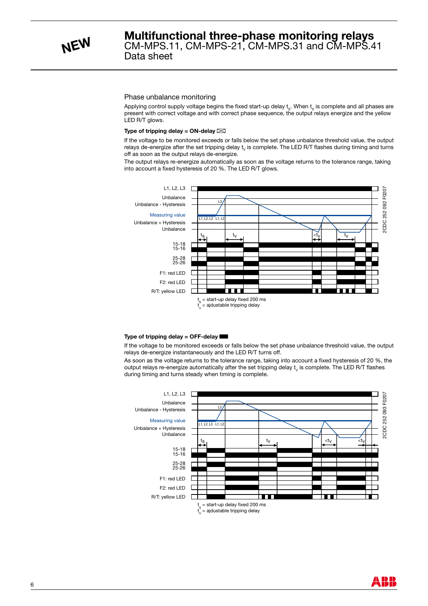

**NEW** CM-MPS.11, CM-MPS-21, CM-MPS.31 and CM-MPS.41<br>Data sheet

#### Phase unbalance monitoring

Applying control supply voltage begins the fixed start-up delay  $\bm{{\mathsf{t}}}_{\rm s}$ . When  $\bm{{\mathsf{t}}}_{\rm s}$  is complete and all phases are present with correct voltage and with correct phase sequence, the output relays energize and the yellow LED R/T glows.

#### **Type of tripping delay = ON-delay**  $\boxtimes$

If the voltage to be monitored exceeds or falls below the set phase unbalance threshold value, the output relays de-energize after the set tripping delay  $\mathsf{t}_\mathsf{v}$  is complete. The LED R/T flashes during timing and turns off as soon as the output relays de-energize.

The output relays re-energize automatically as soon as the voltage returns to the tolerance range, taking into account a fixed hysteresis of 20 %. The LED R/T glows.



#### **Type of tripping delay = OFF-delay** B

If the voltage to be monitored exceeds or falls below the set phase unbalance threshold value, the output relays de-energize instantaneously and the LED R/T turns off.

As soon as the voltage returns to the tolerance range, taking into account a fixed hysteresis of 20 %, the output relays re-energize automatically after the set tripping delay  ${\sf t}_{\sf v}$  is complete. The LED R/T flashes during timing and turns steady when timing is complete.



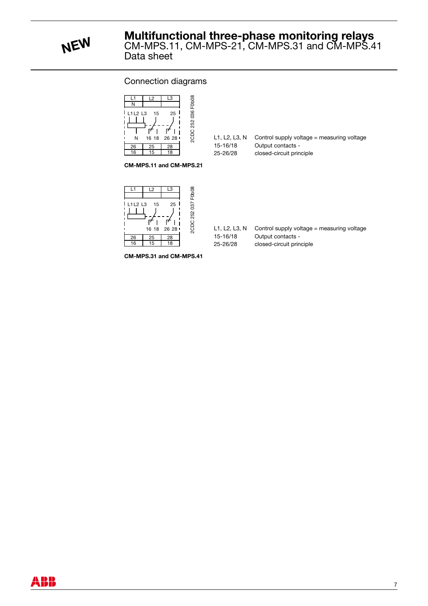**NEW** CM-MPS.11, CM-MPS-21, CM-MPS.31 and CM-MPS.41<br>Data sheet

### Connection diagrams



| L1. L2. L3. N | Control supply voltage = measuring voltage |
|---------------|--------------------------------------------|
| 15-16/18      | Output contacts -                          |
| 25-26/28      | closed-circuit principle                   |

**CM-MPS.11 and CM-MPS.21**



| L1. L2. L3. N | Control supply voltage = measuring voltage |
|---------------|--------------------------------------------|
| 15-16/18      | Output contacts -                          |
| 25-26/28      | closed-circuit principle                   |

**CM-MPS.31 and CM-MPS.41**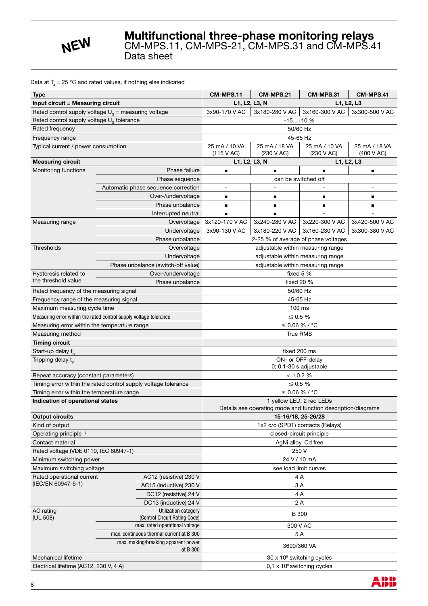

### Data at  $T_a = 25 \degree C$  and rated values, if nothing else indicated

| Type                                                   |                                                                   | CM-MPS.11                             | CM-MPS.21                                                    | CM-MPS.31                                    | CM-MPS.41                   |  |
|--------------------------------------------------------|-------------------------------------------------------------------|---------------------------------------|--------------------------------------------------------------|----------------------------------------------|-----------------------------|--|
| <b>Input circuit = Measuring circuit</b>               |                                                                   |                                       | L1, L2, L3, N                                                | L1, L2, L3                                   |                             |  |
| Rated control supply voltage $U_s$ = measuring voltage |                                                                   | 3x90-170 V AC                         | 3x180-280 V AC                                               | 3x160-300 V AC                               | 3x300-500 V AC              |  |
| Rated control supply voltage U <sub>s</sub> tolerance  |                                                                   |                                       | $-15+10$ %                                                   |                                              |                             |  |
| Rated frequency                                        |                                                                   |                                       | 50/60 Hz                                                     |                                              |                             |  |
| Frequency range                                        |                                                                   |                                       |                                                              | 45-65 Hz                                     |                             |  |
| Typical current / power consumption                    |                                                                   | 25 mA / 10 VA<br>(115 V AC)           | 25 mA / 18 VA<br>(230 V AC)                                  | 25 mA / 10 VA<br>(230 V AC)                  | 25 mA / 18 VA<br>(400 V AC) |  |
| <b>Measuring circuit</b>                               |                                                                   |                                       | L1, L2, L3, N<br>L1, L2, L3                                  |                                              |                             |  |
| Monitoring functions                                   | Phase failure                                                     | п                                     |                                                              |                                              | ■                           |  |
|                                                        | Phase sequence                                                    |                                       |                                                              | can be switched off                          |                             |  |
|                                                        | Automatic phase sequence correction                               |                                       |                                                              |                                              |                             |  |
|                                                        | Over-/undervoltage                                                | п                                     | ■                                                            | п                                            | п                           |  |
|                                                        | Phase unbalance                                                   | п                                     | ■                                                            | п                                            |                             |  |
|                                                        | Interrupted neutral                                               |                                       |                                                              |                                              |                             |  |
| Measuring range                                        | Overvoltage                                                       | 3x120-170 V AC                        | 3x240-280 V AC                                               | 3x220-300 V AC                               | 3x420-500 V AC              |  |
|                                                        | Undervoltage                                                      | 3x90-130 V AC                         | 3x180-220 V AC                                               | 3x160-230 V AC                               | 3x300-380 V AC              |  |
|                                                        | Phase unbalance                                                   |                                       |                                                              | 2-25 % of average of phase voltages          |                             |  |
| Thresholds                                             | Overvoltage                                                       |                                       |                                                              | adjustable within measuring range            |                             |  |
|                                                        | Undervoltage                                                      |                                       |                                                              | adjustable within measuring range            |                             |  |
|                                                        | Phase unbalance (switch-off value)                                |                                       |                                                              | adjustable within measuring range            |                             |  |
| Hysteresis related to                                  | Over-/undervoltage                                                |                                       | fixed 5 %                                                    |                                              |                             |  |
| the threshold value                                    | Phase unbalance                                                   |                                       | fixed 20 %                                                   |                                              |                             |  |
| Rated frequency of the measuring signal                |                                                                   |                                       |                                                              | 50/60 Hz                                     |                             |  |
| Frequency range of the measuring signal                |                                                                   |                                       |                                                              | 45-65 Hz                                     |                             |  |
| Maximum measuring cycle time                           |                                                                   |                                       |                                                              | 100 ms                                       |                             |  |
|                                                        | Measuring error within the rated control supply voltage tolerance |                                       |                                                              | $\leq$ 0.5 %                                 |                             |  |
| Measuring error within the temperature range           |                                                                   |                                       |                                                              | $\leq$ 0.06 % / °C                           |                             |  |
| Measuring method                                       |                                                                   |                                       |                                                              | <b>True RMS</b>                              |                             |  |
| <b>Timing circuit</b>                                  |                                                                   |                                       |                                                              |                                              |                             |  |
| Start-up delay t <sub>o</sub>                          |                                                                   |                                       |                                                              | fixed 200 ms                                 |                             |  |
| Tripping delay t <sub>v</sub>                          |                                                                   |                                       |                                                              | ON- or OFF-delay<br>$0; 0.1-30$ s adjustable |                             |  |
| Repeat accuracy (constant parameters)                  |                                                                   |                                       |                                                              | $< \pm 0.2$ %                                |                             |  |
|                                                        | Timing error within the rated control supply voltage tolerance    |                                       |                                                              | $\leq 0.5\%$                                 |                             |  |
| Timing error within the temperature range              |                                                                   |                                       | $≤$ 0.06 % / °C                                              |                                              |                             |  |
| Indication of operational states                       |                                                                   |                                       | Details see operating mode and function description/diagrams | 1 yellow LED, 2 red LEDs                     |                             |  |
| <b>Output circuits</b>                                 |                                                                   |                                       |                                                              | 15-16/18, 25-26/28                           |                             |  |
| Kind of output                                         |                                                                   | 1x2 c/o (SPDT) contacts (Relays)      |                                                              |                                              |                             |  |
| Operating principle <sup>1)</sup>                      |                                                                   | closed-circuit principle              |                                                              |                                              |                             |  |
| Contact material                                       |                                                                   | AgNi alloy, Cd free                   |                                                              |                                              |                             |  |
| Rated voltage (VDE 0110, IEC 60947-1)                  |                                                                   | 250 V                                 |                                                              |                                              |                             |  |
| Minimum switching power                                |                                                                   |                                       |                                                              | 24 V / 10 mA                                 |                             |  |
| Maximum switching voltage                              |                                                                   |                                       | see load limit curves                                        |                                              |                             |  |
| Rated operational current                              | AC12 (resistive) 230 V                                            |                                       |                                                              | 4 A                                          |                             |  |
| (IEC/EN 60947-5-1)                                     | AC15 (inductive) 230 V                                            |                                       |                                                              | 3A                                           |                             |  |
|                                                        | DC12 (resistive) 24 V                                             |                                       |                                                              | 4A                                           |                             |  |
|                                                        | DC13 (inductive) 24 V                                             |                                       |                                                              | 2A                                           |                             |  |
| AC rating<br>(UL 508)                                  | Utilization category<br>(Control Circuit Rating Code)             |                                       |                                                              | <b>B</b> 300                                 |                             |  |
|                                                        | max. rated operational voltage                                    |                                       |                                                              | 300 V AC                                     |                             |  |
|                                                        | max. continuous thermal current at B 300                          |                                       |                                                              | 5A                                           |                             |  |
|                                                        | max. making/breaking apparent power<br>at B 300                   |                                       |                                                              | 3600/360 VA                                  |                             |  |
| Mechanical lifetime                                    |                                                                   | 30 x 10 <sup>6</sup> switching cycles |                                                              |                                              |                             |  |
| Electrical lifetime (AC12, 230 V, 4 A)                 |                                                                   | $0.1 \times 10^6$ switching cycles    |                                                              |                                              |                             |  |

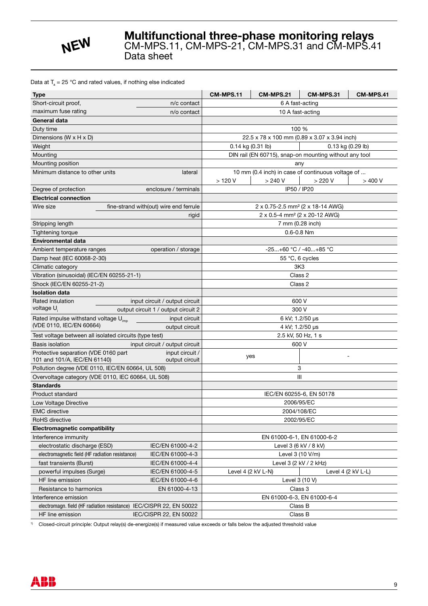

### Data at  $T_a = 25 \degree C$  and rated values, if nothing else indicated

| <b>Type</b>                                                                                                        |                                        | CM-MPS.11                                 | CM-MPS.21                                         | CM-MPS.31                                              | CM-MPS.41 |
|--------------------------------------------------------------------------------------------------------------------|----------------------------------------|-------------------------------------------|---------------------------------------------------|--------------------------------------------------------|-----------|
| Short-circuit proof,<br>n/c contact                                                                                |                                        | 6 A fast-acting                           |                                                   |                                                        |           |
| maximum fuse rating<br>n/o contact                                                                                 |                                        |                                           | 10 A fast-acting                                  |                                                        |           |
| General data                                                                                                       |                                        |                                           |                                                   |                                                        |           |
| Duty time                                                                                                          |                                        |                                           |                                                   | 100 %                                                  |           |
| Dimensions (W $\times$ H $\times$ D)                                                                               |                                        |                                           |                                                   | 22.5 x 78 x 100 mm (0.89 x 3.07 x 3.94 inch)           |           |
| Weight                                                                                                             |                                        | 0.14 kg (0.31 lb)                         |                                                   | 0.13 kg (0.29 lb)                                      |           |
| Mounting                                                                                                           |                                        |                                           |                                                   | DIN rail (EN 60715), snap-on mounting without any tool |           |
| Mounting position                                                                                                  |                                        |                                           |                                                   | any                                                    |           |
| Minimum distance to other units                                                                                    | lateral                                |                                           | 10 mm (0.4 inch) in case of continuous voltage of |                                                        |           |
|                                                                                                                    |                                        | $>120$ V                                  | $>240$ V                                          | $>220$ V                                               | >400V     |
| Degree of protection                                                                                               | enclosure / terminals                  |                                           |                                                   | IP50 / IP20                                            |           |
| <b>Electrical connection</b>                                                                                       |                                        |                                           |                                                   |                                                        |           |
| Wire size                                                                                                          | fine-strand with(out) wire end ferrule |                                           |                                                   | 2 x 0.75-2.5 mm <sup>2</sup> (2 x 18-14 AWG)           |           |
|                                                                                                                    | rigid                                  |                                           | 2 x 0.5-4 mm <sup>2</sup> (2 x 20-12 AWG)         |                                                        |           |
| Stripping length                                                                                                   |                                        |                                           | 7 mm (0.28 inch)                                  |                                                        |           |
| Tightening torque                                                                                                  |                                        |                                           |                                                   | $0.6 - 0.8$ Nm                                         |           |
| <b>Environmental data</b>                                                                                          |                                        |                                           |                                                   |                                                        |           |
| Ambient temperature ranges                                                                                         | operation / storage                    |                                           |                                                   | $-25+60$ °C / $-40+85$ °C                              |           |
| Damp heat (IEC 60068-2-30)                                                                                         |                                        |                                           |                                                   | 55 °C, 6 cycles                                        |           |
| Climatic category                                                                                                  |                                        |                                           |                                                   | 3K <sub>3</sub>                                        |           |
| Vibration (sinusoidal) (IEC/EN 60255-21-1)                                                                         |                                        |                                           |                                                   | Class 2                                                |           |
| Shock (IEC/EN 60255-21-2)                                                                                          |                                        | Class 2                                   |                                                   |                                                        |           |
| <b>Isolation data</b>                                                                                              |                                        |                                           |                                                   |                                                        |           |
| Rated insulation                                                                                                   | input circuit / output circuit         |                                           |                                                   | 600 V                                                  |           |
| voltage U                                                                                                          | output circuit 1 / output circuit 2    |                                           |                                                   | 300 V                                                  |           |
| Rated impulse withstand voltage U <sub>imp</sub><br>input circuit                                                  |                                        |                                           | 6 kV; 1.2/50 µs                                   |                                                        |           |
| (VDE 0110, IEC/EN 60664)<br>output circuit                                                                         |                                        |                                           |                                                   | 4 kV; 1.2/50 µs                                        |           |
| Test voltage between all isolated circuits (type test)                                                             |                                        |                                           |                                                   | 2.5 kV, 50 Hz, 1 s                                     |           |
| <b>Basis isolation</b>                                                                                             | input circuit / output circuit         |                                           |                                                   | 600 V                                                  |           |
| Protective separation (VDE 0160 part                                                                               | input circuit /                        | yes                                       |                                                   |                                                        |           |
| 101 and 101/A, IEC/EN 61140)                                                                                       | output circuit                         | 3                                         |                                                   |                                                        |           |
| Pollution degree (VDE 0110, IEC/EN 60664, UL 508)                                                                  |                                        | III                                       |                                                   |                                                        |           |
| Overvoltage category (VDE 0110, IEC 60664, UL 508)<br><b>Standards</b>                                             |                                        |                                           |                                                   |                                                        |           |
| Product standard                                                                                                   |                                        |                                           |                                                   |                                                        |           |
| Low Voltage Directive                                                                                              |                                        |                                           |                                                   | IEC/EN 60255-6, EN 50178                               |           |
| <b>EMC</b> directive                                                                                               |                                        | 2006/95/EC<br>2004/108/EC                 |                                                   |                                                        |           |
| RoHS directive                                                                                                     |                                        |                                           |                                                   | 2002/95/EC                                             |           |
| <b>Electromagnetic compatibility</b>                                                                               |                                        |                                           |                                                   |                                                        |           |
|                                                                                                                    |                                        |                                           |                                                   |                                                        |           |
| Interference immunity                                                                                              |                                        | EN 61000-6-1, EN 61000-6-2                |                                                   |                                                        |           |
| electrostatic discharge (ESD)<br>IEC/EN 61000-4-2                                                                  |                                        | Level 3 (6 kV / 8 kV)<br>Level 3 (10 V/m) |                                                   |                                                        |           |
| electromagnetic field (HF radiation resistance)<br>IEC/EN 61000-4-3<br>fast transients (Burst)<br>IEC/EN 61000-4-4 |                                        |                                           |                                                   | Level 3 (2 kV / 2 kHz)                                 |           |
| powerful impulses (Surge)                                                                                          | IEC/EN 61000-4-5                       | Level 4 (2 kV L-N)                        |                                                   |                                                        |           |
| HF line emission                                                                                                   | IEC/EN 61000-4-6                       |                                           |                                                   | Level 4 (2 kV L-L)<br>Level 3 (10 V)                   |           |
| Resistance to harmonics                                                                                            | EN 61000-4-13                          |                                           |                                                   | Class 3                                                |           |
|                                                                                                                    |                                        |                                           |                                                   |                                                        |           |
| Interference emission<br>electromagn. field (HF radiation resistance) IEC/CISPR 22, EN 50022                       |                                        | EN 61000-6-3, EN 61000-6-4<br>Class B     |                                                   |                                                        |           |
|                                                                                                                    |                                        |                                           |                                                   |                                                        |           |
| HF line emission                                                                                                   | IEC/CISPR 22, EN 50022                 |                                           |                                                   | Class B                                                |           |

<sup>1)</sup> Closed-circuit principle: Output relay(s) de-energize(s) if measured value exceeds or falls below the adjusted threshold value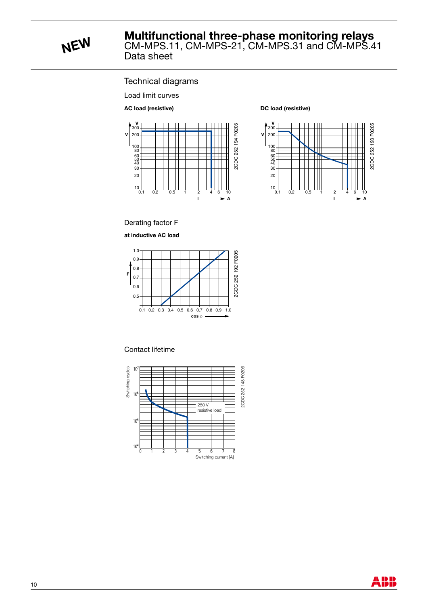**NEW** CM-MPS.11, CM-MPS-21, CM-MPS.31 and CM-MPS.41<br>Data sheet

### Technical diagrams

Load limit curves

**AC load (resistive)**



#### **DC load (resistive)**



Derating factor F

**at inductive AC load**



#### Contact lifetime



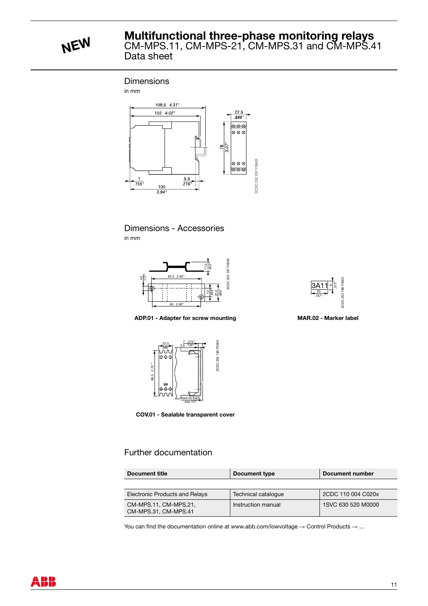**NEW** CM-MPS.11, CM-MPS-21, CM-MPS.31 and CM-MPS.41<br>Data sheet

#### **Dimensions**

in mm







**ADP.01 - Adapter for screw mounting MAR.02 - Marker label**



**COV.01 - Sealable transparent cover**

### Further documentation

| Document title                                | Document type       | Document number    |  |
|-----------------------------------------------|---------------------|--------------------|--|
|                                               |                     |                    |  |
| <b>Electronic Products and Relays</b>         | Technical catalogue | 2CDC 110 004 C020x |  |
| CM-MPS.11, CM-MPS.21,<br>CM-MPS.31, CM-MPS.41 | Instruction manual  | 1SVC 630 520 M0000 |  |

You can find the documentation online at www.abb.com/lowvoltage  $\rightarrow$  Control Products  $\rightarrow$  ...